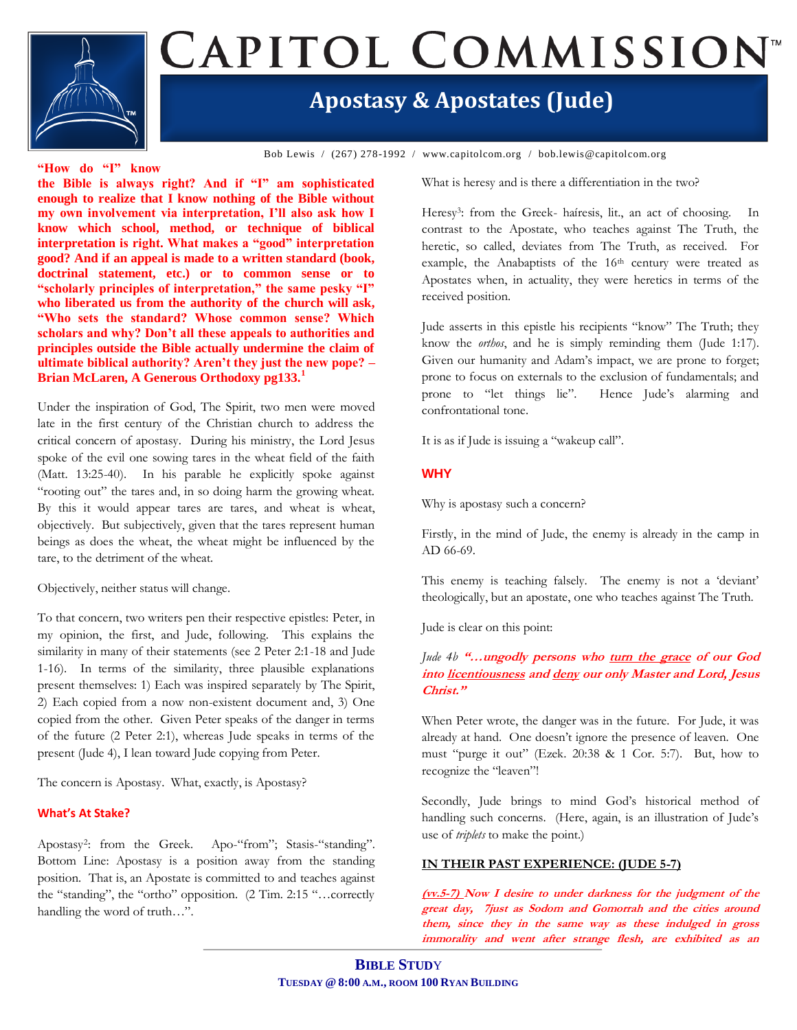

# CAPITOL COMMISSION

## **Apostasy & Apostates (Jude)**

Bob Lewis / (267) 278-1992 / www.capitolcom.org / bob.lewis@capitolcom.org

#### **"How do "I" know**

**the Bible is always right? And if "I" am sophisticated enough to realize that I know nothing of the Bible without my own involvement via interpretation, I'll also ask how I know which school, method, or technique of biblical interpretation is right. What makes a "good" interpretation good? And if an appeal is made to a written standard (book, doctrinal statement, etc.) or to common sense or to "scholarly principles of interpretation," the same pesky "I" who liberated us from the authority of the church will ask, "Who sets the standard? Whose common sense? Which scholars and why? Don't all these appeals to authorities and principles outside the Bible actually undermine the claim of ultimate biblical authority? Aren't they just the new pope? – Brian McLaren, A Generous Orthodoxy pg133.<sup>1</sup>**

Under the inspiration of God, The Spirit, two men were moved late in the first century of the Christian church to address the critical concern of apostasy. During his ministry, the Lord Jesus spoke of the evil one sowing tares in the wheat field of the faith (Matt. 13:25-40). In his parable he explicitly spoke against "rooting out" the tares and, in so doing harm the growing wheat. By this it would appear tares are tares, and wheat is wheat, objectively. But subjectively, given that the tares represent human beings as does the wheat, the wheat might be influenced by the tare, to the detriment of the wheat.

Objectively, neither status will change.

To that concern, two writers pen their respective epistles: Peter, in my opinion, the first, and Jude, following. This explains the similarity in many of their statements (see 2 Peter 2:1-18 and Jude 1-16). In terms of the similarity, three plausible explanations present themselves: 1) Each was inspired separately by The Spirit, 2) Each copied from a now non-existent document and, 3) One copied from the other. Given Peter speaks of the danger in terms of the future (2 Peter 2:1), whereas Jude speaks in terms of the present (Jude 4), I lean toward Jude copying from Peter.

The concern is Apostasy. What, exactly, is Apostasy?

#### **What's At Stake?**

Apostasy<sup>2</sup>: from the Greek. Apo-"from"; Stasis-"standing". Bottom Line: Apostasy is a position away from the standing position. That is, an Apostate is committed to and teaches against the "standing", the "ortho" opposition. (2 Tim. 2:15 "…correctly handling the word of truth…".

What is heresy and is there a differentiation in the two?

Heresy<sup>3</sup>: from the Greek- haíresis, lit., an act of choosing. In contrast to the Apostate, who teaches against The Truth, the heretic, so called, deviates from The Truth, as received. For example, the Anabaptists of the 16<sup>th</sup> century were treated as Apostates when, in actuality, they were heretics in terms of the received position.

Jude asserts in this epistle his recipients "know" The Truth; they know the *orthos*, and he is simply reminding them (Jude 1:17). Given our humanity and Adam"s impact, we are prone to forget; prone to focus on externals to the exclusion of fundamentals; and prone to "let things lie". Hence Jude's alarming and confrontational tone.

It is as if Jude is issuing a "wakeup call".

#### **WHY**

Why is apostasy such a concern?

Firstly, in the mind of Jude, the enemy is already in the camp in AD 66-69.

This enemy is teaching falsely. The enemy is not a 'deviant' theologically, but an apostate, one who teaches against The Truth.

Jude is clear on this point:

#### *Jude 4b* **"…ungodly persons who turn the grace of our God into licentiousness and deny our only Master and Lord, Jesus Christ."**

When Peter wrote, the danger was in the future. For Jude, it was already at hand. One doesn"t ignore the presence of leaven. One must "purge it out" (Ezek. 20:38 & 1 Cor. 5:7). But, how to recognize the "leaven"!

Secondly, Jude brings to mind God's historical method of handling such concerns. (Here, again, is an illustration of Jude's use of *triplets* to make the point.)

#### **IN THEIR PAST EXPERIENCE: (JUDE 5-7)**

**(vv.5-7) Now I desire to under darkness for the judgment of the great day, 7just as Sodom and Gomorrah and the cities around them, since they in the same way as these indulged in gross immorality and went after strange flesh, are exhibited as an**